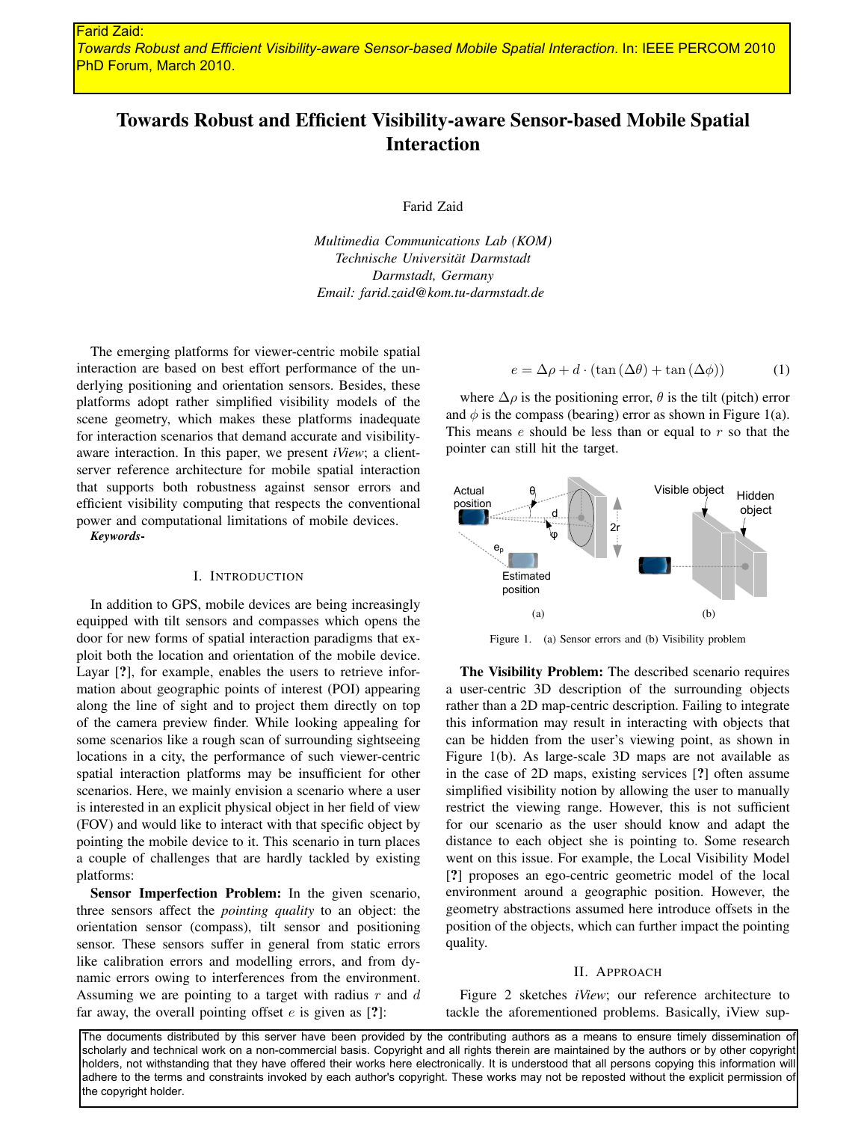# Towards Robust and Efficient Visibility-aware Sensor-based Mobile Spatial Interaction

Farid Zaid

*Multimedia Communications Lab (KOM) Technische Universität Darmstadt Darmstadt, Germany Email: farid.zaid@kom.tu-darmstadt.de*

The emerging platforms for viewer-centric mobile spatial interaction are based on best effort performance of the underlying positioning and orientation sensors. Besides, these platforms adopt rather simplified visibility models of the scene geometry, which makes these platforms inadequate for interaction scenarios that demand accurate and visibilityaware interaction. In this paper, we present *iView*; a clientserver reference architecture for mobile spatial interaction that supports both robustness against sensor errors and efficient visibility computing that respects the conventional power and computational limitations of mobile devices.

*Keywords*-

## I. INTRODUCTION

In addition to GPS, mobile devices are being increasingly equipped with tilt sensors and compasses which opens the door for new forms of spatial interaction paradigms that exploit both the location and orientation of the mobile device. Layar [?], for example, enables the users to retrieve information about geographic points of interest (POI) appearing along the line of sight and to project them directly on top of the camera preview finder. While looking appealing for some scenarios like a rough scan of surrounding sightseeing locations in a city, the performance of such viewer-centric spatial interaction platforms may be insufficient for other scenarios. Here, we mainly envision a scenario where a user is interested in an explicit physical object in her field of view (FOV) and would like to interact with that specific object by pointing the mobile device to it. This scenario in turn places a couple of challenges that are hardly tackled by existing platforms:

Sensor Imperfection Problem: In the given scenario, three sensors affect the *pointing quality* to an object: the orientation sensor (compass), tilt sensor and positioning sensor. These sensors suffer in general from static errors like calibration errors and modelling errors, and from dynamic errors owing to interferences from the environment. Assuming we are pointing to a target with radius  $r$  and  $d$ far away, the overall pointing offset  $e$  is given as  $[?]$ :

$$
e = \Delta \rho + d \cdot (\tan(\Delta \theta) + \tan(\Delta \phi))
$$
 (1)

where  $\Delta \rho$  is the positioning error,  $\theta$  is the tilt (pitch) error and  $\phi$  is the compass (bearing) error as shown in Figure 1(a). This means  $e$  should be less than or equal to  $r$  so that the pointer can still hit the target.



Figure 1. (a) Sensor errors and (b) Visibility problem

The Visibility Problem: The described scenario requires a user-centric 3D description of the surrounding objects rather than a 2D map-centric description. Failing to integrate this information may result in interacting with objects that can be hidden from the user's viewing point, as shown in Figure 1(b). As large-scale 3D maps are not available as in the case of 2D maps, existing services [?] often assume simplified visibility notion by allowing the user to manually restrict the viewing range. However, this is not sufficient for our scenario as the user should know and adapt the distance to each object she is pointing to. Some research went on this issue. For example, the Local Visibility Model [?] proposes an ego-centric geometric model of the local environment around a geographic position. However, the geometry abstractions assumed here introduce offsets in the position of the objects, which can further impact the pointing quality.

### II. APPROACH

Figure 2 sketches *iView*; our reference architecture to tackle the aforementioned problems. Basically, iView sup-

The documents distributed by this server have been provided by the contributing authors as a means to ensure timely dissemination of scholarly and technical work on a non-commercial basis. Copyright and all rights therein are maintained by the authors or by other copyright holders, not withstanding that they have offered their works here electronically. It is understood that all persons copying this information will adhere to the terms and constraints invoked by each author's copyright. These works may not be reposted without the explicit permission of the copyright holder.